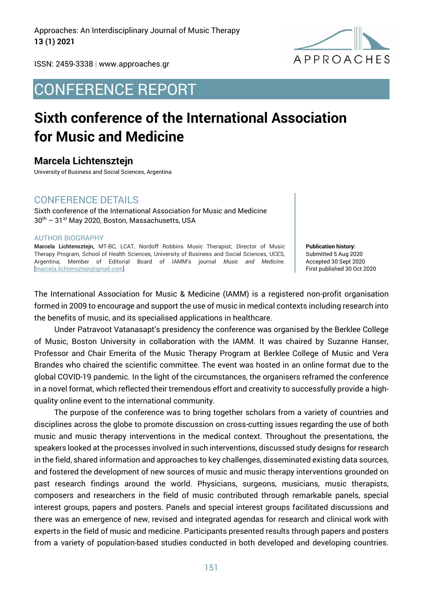Approaches: An Interdisciplinary Journal of Music Therapy **13 (1) 2021**



ISSN: 2459-3338 | www.approaches.gr

# CONFERENCE REPORT

# **Sixth conference of the International Association for Music and Medicine**

**Marcela Lichtensztejn**

University of Business and Social Sciences, Argentina

### CONFERENCE DETAILS

Sixth conference of the International Association for Music and Medicine 30th – 31st May 2020, Boston, Massachusetts, USA

#### AUTHOR BIOGRAPHY

**Marcela Lichtensztejn,** MT-BC, LCAT, Nordoff Robbins Music Therapist; Director of Music Therapy Program, School of Health Sciences, University of Business and Social Sciences, UCES, Argentina; Member of Editorial Board of IAMM's journal *Music and Medicine.*  [marcela.lichtensztejn@gmail.com]

**Publication history:**  Submitted 5 Aug 2020 Accepted 30 Sept 2020 First published 30 Oct 2020

The International Association for Music & Medicine (IAMM) is a registered non-profit organisation formed in 2009 to encourage and support the use of music in medical contexts including research into the benefits of music, and its specialised applications in healthcare.

Under Patravoot Vatanasapt's presidency the conference was organised by the Berklee College of Music, Boston University in collaboration with the IAMM. It was chaired by Suzanne Hanser, Professor and Chair Emerita of the Music Therapy Program at Berklee College of Music and Vera Brandes who chaired the scientific committee. The event was hosted in an online format due to the global COVID-19 pandemic. In the light of the circumstances, the organisers reframed the conference in a novel format, which reflected their tremendous effort and creativity to successfully provide a highquality online event to the international community.

The purpose of the conference was to bring together scholars from a variety of countries and disciplines across the globe to promote discussion on cross-cutting issues regarding the use of both music and music therapy interventions in the medical context. Throughout the presentations, the speakers looked at the processes involved in such interventions, discussed study designs for research in the field, shared information and approaches to key challenges, disseminated existing data sources, and fostered the development of new sources of music and music therapy interventions grounded on past research findings around the world. Physicians, surgeons, musicians, music therapists, composers and researchers in the field of music contributed through remarkable panels, special interest groups, papers and posters. Panels and special interest groups facilitated discussions and there was an emergence of new, revised and integrated agendas for research and clinical work with experts in the field of music and medicine. Participants presented results through papers and posters from a variety of population-based studies conducted in both developed and developing countries.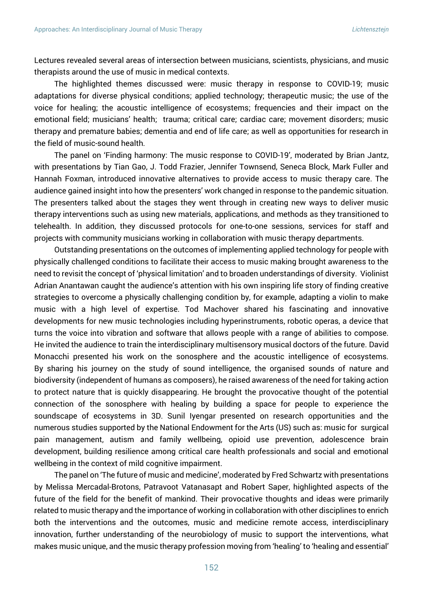Lectures revealed several areas of intersection between musicians, scientists, physicians, and music therapists around the use of music in medical contexts.

The highlighted themes discussed were: music therapy in response to COVID-19; music adaptations for diverse physical conditions; applied technology; therapeutic music; the use of the voice for healing; the acoustic intelligence of ecosystems; frequencies and their impact on the emotional field; musicians' health; trauma; critical care; cardiac care; movement disorders; music therapy and premature babies; dementia and end of life care; as well as opportunities for research in the field of music-sound health.

The panel on 'Finding harmony: The music response to COVID-19', moderated by Brian Jantz, with presentations by Tian Gao, J. Todd Frazier, Jennifer Townsend, Seneca Block, Mark Fuller and Hannah Foxman, introduced innovative alternatives to provide access to music therapy care. The audience gained insight into how the presenters' work changed in response to the pandemic situation. The presenters talked about the stages they went through in creating new ways to deliver music therapy interventions such as using new materials, applications, and methods as they transitioned to telehealth. In addition, they discussed protocols for one-to-one sessions, services for staff and projects with community musicians working in collaboration with music therapy departments.

Outstanding presentations on the outcomes of implementing applied technology for people with physically challenged conditions to facilitate their access to music making brought awareness to the need to revisit the concept of 'physical limitation' and to broaden understandings of diversity. Violinist Adrian Anantawan caught the audience's attention with his own inspiring life story of finding creative strategies to overcome a physically challenging condition by, for example, adapting a violin to make music with a high level of expertise. Tod Machover shared his fascinating and innovative developments for new music technologies including hyperinstruments, robotic operas, a device that turns the voice into vibration and software that allows people with a range of abilities to compose. He invited the audience to train the interdisciplinary multisensory musical doctors of the future. David Monacchi presented his work on the sonosphere and the acoustic intelligence of ecosystems. By sharing his journey on the study of sound intelligence, the organised sounds of nature and biodiversity (independent of humans as composers), he raised awareness of the need for taking action to protect nature that is quickly disappearing. He brought the provocative thought of the potential connection of the sonosphere with healing by building a space for people to experience the soundscape of ecosystems in 3D. Sunil Iyengar presented on research opportunities and the numerous studies supported by the National Endowment for the Arts (US) such as: music for surgical pain management, autism and family wellbeing, opioid use prevention, adolescence brain development, building resilience among critical care health professionals and social and emotional wellbeing in the context of mild cognitive impairment.

The panel on 'The future of music and medicine', moderated by Fred Schwartz with presentations by Melissa Mercadal-Brotons, Patravoot Vatanasapt and Robert Saper, highlighted aspects of the future of the field for the benefit of mankind. Their provocative thoughts and ideas were primarily related to music therapy and the importance of working in collaboration with other disciplines to enrich both the interventions and the outcomes, music and medicine remote access, interdisciplinary innovation, further understanding of the neurobiology of music to support the interventions, what makes music unique, and the music therapy profession moving from 'healing' to 'healing and essential'